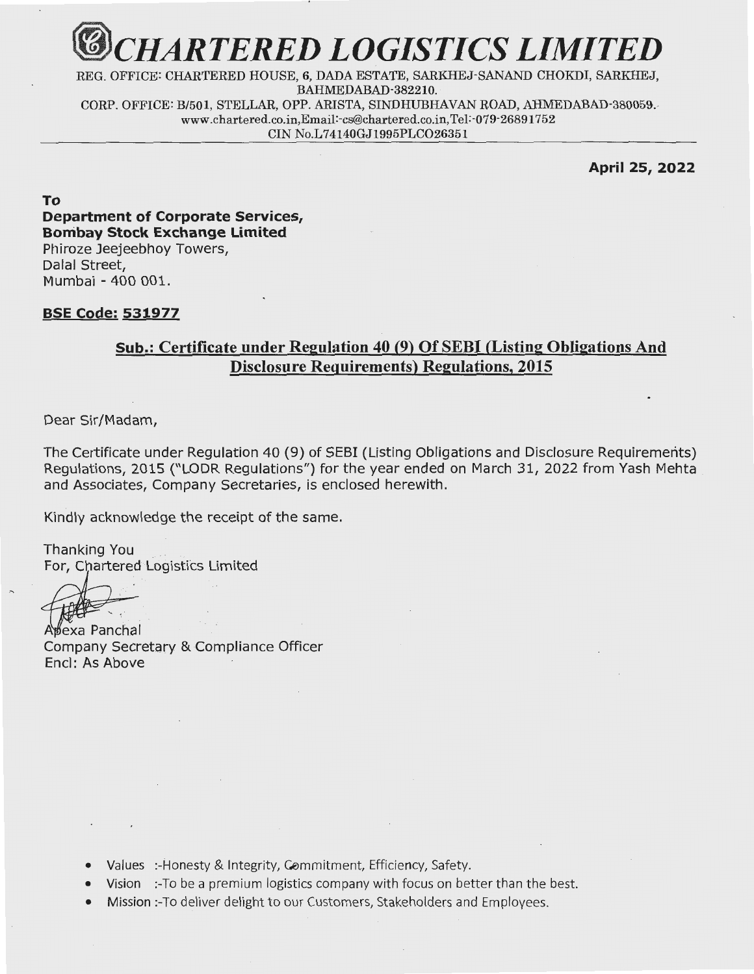

REG. OFFICE: CHARTERED HOUSE, 6, DADA ESTATE, SARKHEJ-SANAND CHOKDI, SARKHEJ, BAHMEDABAD-382210. CORP. OFFICE: B/501, STELLAR, OPP. ARISTA, SINDHUBHAVAN ROAD, AHMEDABAD-380059. www.chartered.co.in,Email:-cs@chartered.co.in,Tel:-079-26891752 CIN No.L74140GJ1995PLCO26351

April 25, 2022

To Department of Corporate Services, Bombay Stock Exchange Limited Phiroze Jeejeebhoy Towers, Dalal Street, Mumbai - 400 001.

## <u>BSE Code: 531977</u>

## Sub.: Certificate under Regulation 40 (9) Of SEBI (Listing Obligations And Disclosure Requirements) Regulations, 2015

Dear Sir/Madam,

The Certificate under Regulation 40 (9) of SEBI (Listing Obligations and Disclosure Requirements) Regulations, 2015 ("LODR Regulations") for the year ended on March 31, 2022 from Yash Mehta and Associates, Company Secretaries, is enclosed herewith.

Kindly acknowledge the receipt of the same.

Thanking You . For, Chartered Logistics Limited

Apexa Panchal<br>Company Secretary & Compliance Officer Encl: As Above

- Values :-Honesty & Integrity, Commitment, Efficiency, Safety.
- Vision :-To be a premium logistics company with focus on better than the best.
- Mission :- To deliver delight to our Customers, Stakeholders and Employees.